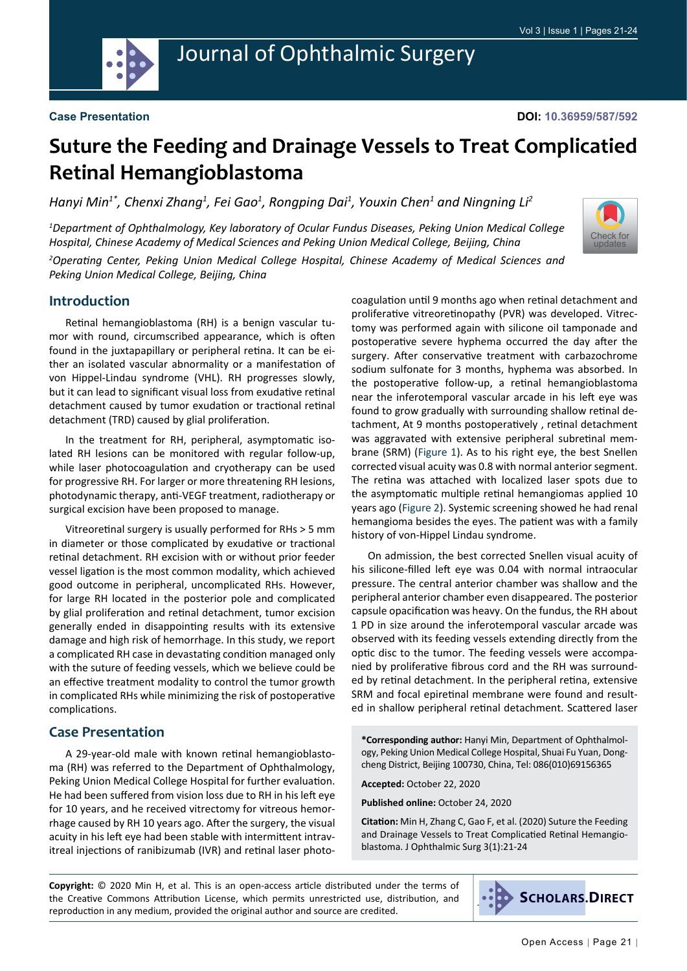

# Journal of Ophthalmic Surgery

#### **Case Presentation**

## **Suture the Feeding and Drainage Vessels to Treat Complicatied Retinal Hemangioblastoma**

Hanyi Min<sup>1\*</sup>, Chenxi Zhang<sup>1</sup>, Fei Gao<sup>1</sup>, Rongping Dai<sup>1</sup>, Youxin Chen<sup>1</sup> and Ningning Li<sup>2</sup>

*1 Department of Ophthalmology, Key laboratory of Ocular Fundus Diseases, Peking Union Medical College Hospital, Chinese Academy of Medical Sciences and Peking Union Medical College, Beijing, China*



*2 Operating Center, Peking Union Medical College Hospital, Chinese Academy of Medical Sciences and Peking Union Medical College, Beijing, China*

#### **Introduction**

Retinal hemangioblastoma (RH) is a benign vascular tumor with round, circumscribed appearance, which is often found in the juxtapapillary or peripheral retina. It can be either an isolated vascular abnormality or a manifestation of von Hippel-Lindau syndrome (VHL). RH progresses slowly, but it can lead to significant visual loss from exudative retinal detachment caused by tumor exudation or tractional retinal detachment (TRD) caused by glial proliferation.

In the treatment for RH, peripheral, asymptomatic isolated RH lesions can be monitored with regular follow-up, while laser photocoagulation and cryotherapy can be used for progressive RH. For larger or more threatening RH lesions, photodynamic therapy, anti-VEGF treatment, radiotherapy or surgical excision have been proposed to manage.

Vitreoretinal surgery is usually performed for RHs > 5 mm in diameter or those complicated by exudative or tractional retinal detachment. RH excision with or without prior feeder vessel ligation is the most common modality, which achieved good outcome in peripheral, uncomplicated RHs. However, for large RH located in the posterior pole and complicated by glial proliferation and retinal detachment, tumor excision generally ended in disappointing results with its extensive damage and high risk of hemorrhage. In this study, we report a complicated RH case in devastating condition managed only with the suture of feeding vessels, which we believe could be an effective treatment modality to control the tumor growth in complicated RHs while minimizing the risk of postoperative complications.

#### **Case Presentation**

A 29-year-old male with known retinal hemangioblastoma (RH) was referred to the Department of Ophthalmology, Peking Union Medical College Hospital for further evaluation. He had been suffered from vision loss due to RH in his left eye for 10 years, and he received vitrectomy for vitreous hemorrhage caused by RH 10 years ago. After the surgery, the visual acuity in his left eye had been stable with intermittent intravitreal injections of ranibizumab (IVR) and retinal laser photocoagulation until 9 months ago when retinal detachment and proliferative vitreoretinopathy (PVR) was developed. Vitrectomy was performed again with silicone oil tamponade and postoperative severe hyphema occurred the day after the surgery. After conservative treatment with carbazochrome sodium sulfonate for 3 months, hyphema was absorbed. In the postoperative follow-up, a retinal hemangioblastoma near the inferotemporal vascular arcade in his left eye was found to grow gradually with surrounding shallow retinal detachment, At 9 months postoperatively , retinal detachment was aggravated with extensive peripheral subretinal membrane (SRM) [\(Figure 1\)](#page-1-0). As to his right eye, the best Snellen corrected visual acuity was 0.8 with normal anterior segment. The retina was attached with localized laser spots due to the asymptomatic multiple retinal hemangiomas applied 10 years ago ([Figure 2](#page-1-1)). Systemic screening showed he had renal hemangioma besides the eyes. The patient was with a family history of von-Hippel Lindau syndrome.

On admission, the best corrected Snellen visual acuity of his silicone-filled left eye was 0.04 with normal intraocular pressure. The central anterior chamber was shallow and the peripheral anterior chamber even disappeared. The posterior capsule opacification was heavy. On the fundus, the RH about 1 PD in size around the inferotemporal vascular arcade was observed with its feeding vessels extending directly from the optic disc to the tumor. The feeding vessels were accompanied by proliferative fibrous cord and the RH was surrounded by retinal detachment. In the peripheral retina, extensive SRM and focal epiretinal membrane were found and resulted in shallow peripheral retinal detachment. Scattered laser

**\*Corresponding author:** Hanyi Min, Department of Ophthalmology, Peking Union Medical College Hospital, Shuai Fu Yuan, Dongcheng District, Beijing 100730, China, Tel: 086(010)69156365

**Accepted:** October 22, 2020

**Published online:** October 24, 2020

**Citation:** Min H, Zhang C, Gao F, et al. (2020) Suture the Feeding and Drainage Vessels to Treat Complicatied Retinal Hemangioblastoma. J Ophthalmic Surg 3(1):21-24

**Copyright:** © 2020 Min H, et al. This is an open-access article distributed under the terms of the Creative Commons Attribution License, which permits unrestricted use, distribution, and reproduction in any medium, provided the original author and source are credited.

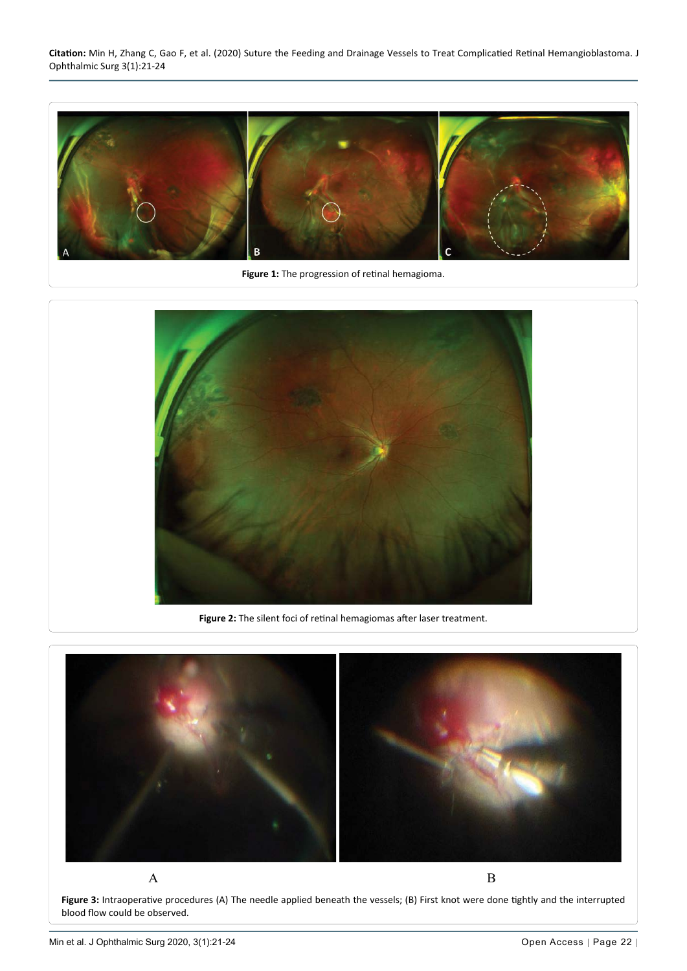**Citation:** Min H, Zhang C, Gao F, et al. (2020) Suture the Feeding and Drainage Vessels to Treat Complicatied Retinal Hemangioblastoma. J Ophthalmic Surg 3(1):21-24

<span id="page-1-0"></span>

**Figure 1:** The progression of retinal hemagioma.

<span id="page-1-1"></span>

**Figure 2:** The silent foci of retinal hemagiomas after laser treatment.

<span id="page-1-2"></span>

**Figure 3:** Intraoperative procedures (A) The needle applied beneath the vessels; (B) First knot were done tightly and the interrupted blood flow could be observed.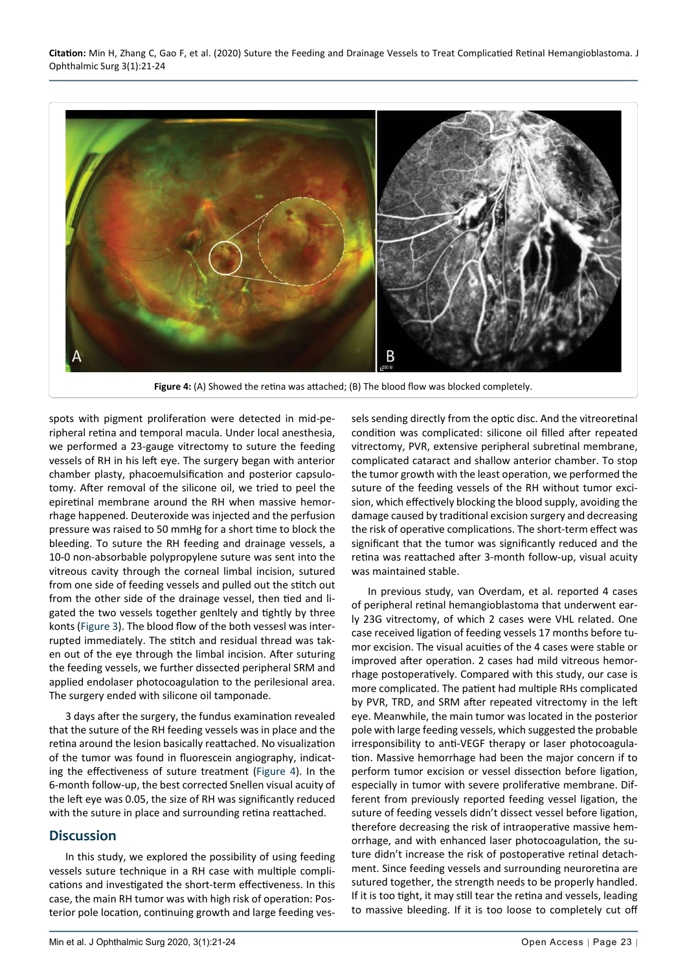

**Figure 4:** (A) Showed the retina was attached; (B) The blood flow was blocked completely.

spots with pigment proliferation were detected in mid-peripheral retina and temporal macula. Under local anesthesia, we performed a 23-gauge vitrectomy to suture the feeding vessels of RH in his left eye. The surgery began with anterior chamber plasty, phacoemulsification and posterior capsulotomy. After removal of the silicone oil, we tried to peel the epiretinal membrane around the RH when massive hemorrhage happened. Deuteroxide was injected and the perfusion pressure was raised to 50 mmHg for a short time to block the bleeding. To suture the RH feeding and drainage vessels, a 10-0 non-absorbable polypropylene suture was sent into the vitreous cavity through the corneal limbal incision, sutured from one side of feeding vessels and pulled out the stitch out from the other side of the drainage vessel, then tied and ligated the two vessels together genltely and tightly by three konts ([Figure 3](#page-1-2)). The blood flow of the both vessesl was interrupted immediately. The stitch and residual thread was taken out of the eye through the limbal incision. After suturing the feeding vessels, we further dissected peripheral SRM and applied endolaser photocoagulation to the perilesional area. The surgery ended with silicone oil tamponade.

3 days after the surgery, the fundus examination revealed that the suture of the RH feeding vessels was in place and the retina around the lesion basically reattached. No visualization of the tumor was found in fluorescein angiography, indicating the effectiveness of suture treatment [\(Figure 4](#page-2-0)). In the 6-month follow-up, the best corrected Snellen visual acuity of the left eye was 0.05, the size of RH was significantly reduced with the suture in place and surrounding retina reattached.

### **Discussion**

<span id="page-2-0"></span>Ĩ

In this study, we explored the possibility of using feeding vessels suture technique in a RH case with multiple complications and investigated the short-term effectiveness. In this case, the main RH tumor was with high risk of operation: Posterior pole location, continuing growth and large feeding vessels sending directly from the optic disc. And the vitreoretinal condition was complicated: silicone oil filled after repeated vitrectomy, PVR, extensive peripheral subretinal membrane, complicated cataract and shallow anterior chamber. To stop the tumor growth with the least operation, we performed the suture of the feeding vessels of the RH without tumor excision, which effectively blocking the blood supply, avoiding the damage caused by traditional excision surgery and decreasing the risk of operative complications. The short-term effect was significant that the tumor was significantly reduced and the retina was reattached after 3-month follow-up, visual acuity was maintained stable.

In previous study, van Overdam, et al. reported 4 cases of peripheral retinal hemangioblastoma that underwent early 23G vitrectomy, of which 2 cases were VHL related. One case received ligation of feeding vessels 17 months before tumor excision. The visual acuities of the 4 cases were stable or improved after operation. 2 cases had mild vitreous hemorrhage postoperatively. Compared with this study, our case is more complicated. The patient had multiple RHs complicated by PVR, TRD, and SRM after repeated vitrectomy in the left eye. Meanwhile, the main tumor was located in the posterior pole with large feeding vessels, which suggested the probable irresponsibility to anti-VEGF therapy or laser photocoagulation. Massive hemorrhage had been the major concern if to perform tumor excision or vessel dissection before ligation, especially in tumor with severe proliferative membrane. Different from previously reported feeding vessel ligation, the suture of feeding vessels didn't dissect vessel before ligation, therefore decreasing the risk of intraoperative massive hemorrhage, and with enhanced laser photocoagulation, the suture didn't increase the risk of postoperative retinal detachment. Since feeding vessels and surrounding neuroretina are sutured together, the strength needs to be properly handled. If it is too tight, it may still tear the retina and vessels, leading to massive bleeding. If it is too loose to completely cut off